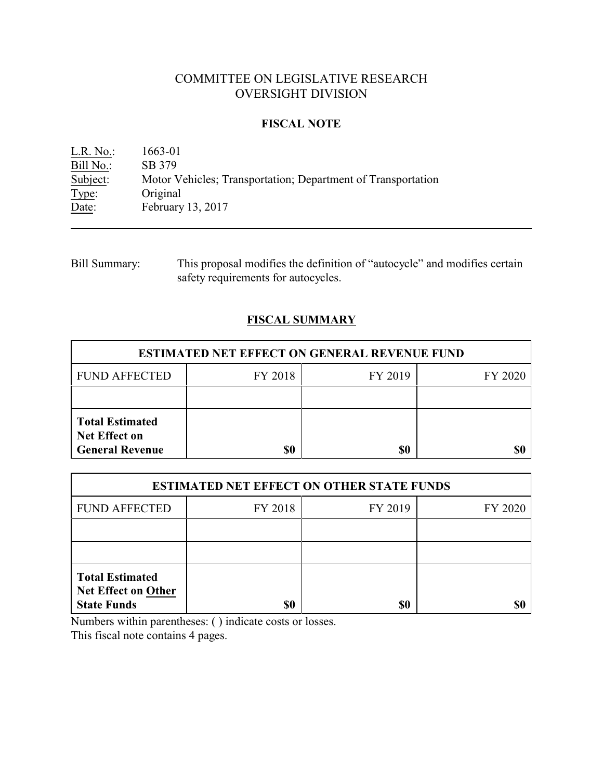# COMMITTEE ON LEGISLATIVE RESEARCH OVERSIGHT DIVISION

### **FISCAL NOTE**

L.R. No.: 1663-01 Bill No.: SB 379<br>Subject: Motor V Subject: Motor Vehicles; Transportation; Department of Transportation<br>Type: Original Type: Original<br>Date: February February 13, 2017

Bill Summary: This proposal modifies the definition of "autocycle" and modifies certain safety requirements for autocycles.

## **FISCAL SUMMARY**

| <b>ESTIMATED NET EFFECT ON GENERAL REVENUE FUND</b>                      |         |         |         |  |
|--------------------------------------------------------------------------|---------|---------|---------|--|
| <b>FUND AFFECTED</b>                                                     | FY 2018 | FY 2019 | FY 2020 |  |
|                                                                          |         |         |         |  |
| <b>Total Estimated</b><br><b>Net Effect on</b><br><b>General Revenue</b> | \$0     | \$0     |         |  |

| <b>ESTIMATED NET EFFECT ON OTHER STATE FUNDS</b>                           |         |         |         |  |
|----------------------------------------------------------------------------|---------|---------|---------|--|
| <b>FUND AFFECTED</b>                                                       | FY 2018 | FY 2019 | FY 2020 |  |
|                                                                            |         |         |         |  |
|                                                                            |         |         |         |  |
| <b>Total Estimated</b><br><b>Net Effect on Other</b><br><b>State Funds</b> | \$0     | \$0     |         |  |

Numbers within parentheses: ( ) indicate costs or losses.

This fiscal note contains 4 pages.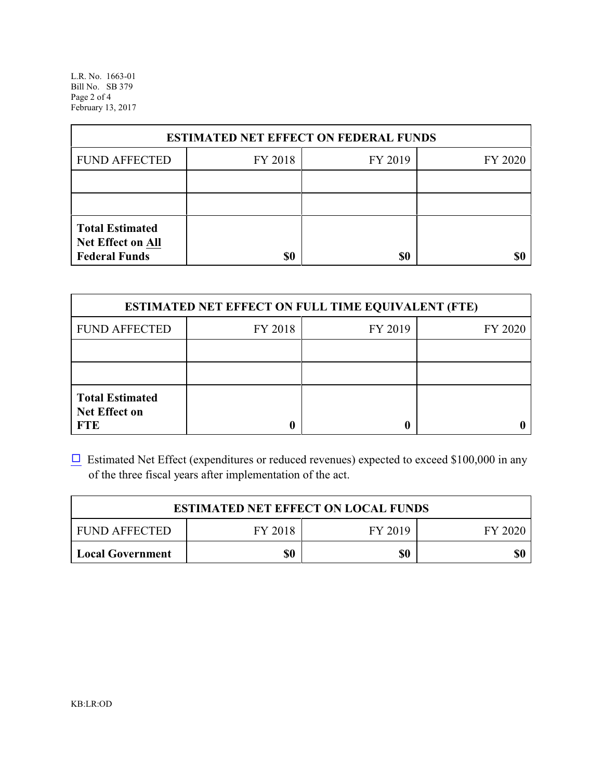L.R. No. 1663-01 Bill No. SB 379 Page 2 of 4 February 13, 2017

| <b>ESTIMATED NET EFFECT ON FEDERAL FUNDS</b>                        |         |         |         |  |
|---------------------------------------------------------------------|---------|---------|---------|--|
| <b>FUND AFFECTED</b>                                                | FY 2018 | FY 2019 | FY 2020 |  |
|                                                                     |         |         |         |  |
|                                                                     |         |         |         |  |
| <b>Total Estimated</b><br>Net Effect on All<br><b>Federal Funds</b> | \$0     | \$0     |         |  |

| <b>ESTIMATED NET EFFECT ON FULL TIME EQUIVALENT (FTE)</b>    |         |         |         |  |
|--------------------------------------------------------------|---------|---------|---------|--|
| <b>FUND AFFECTED</b>                                         | FY 2018 | FY 2019 | FY 2020 |  |
|                                                              |         |         |         |  |
|                                                              |         |         |         |  |
| <b>Total Estimated</b><br><b>Net Effect on</b><br><b>FTE</b> |         |         |         |  |

 $\Box$  Estimated Net Effect (expenditures or reduced revenues) expected to exceed \$100,000 in any of the three fiscal years after implementation of the act.

| <b>ESTIMATED NET EFFECT ON LOCAL FUNDS</b> |         |         |         |
|--------------------------------------------|---------|---------|---------|
| <b>FUND AFFECTED</b>                       | FY 2018 | FY 2019 | FY 2020 |
| Local Government                           | \$0     | \$0     | \$0     |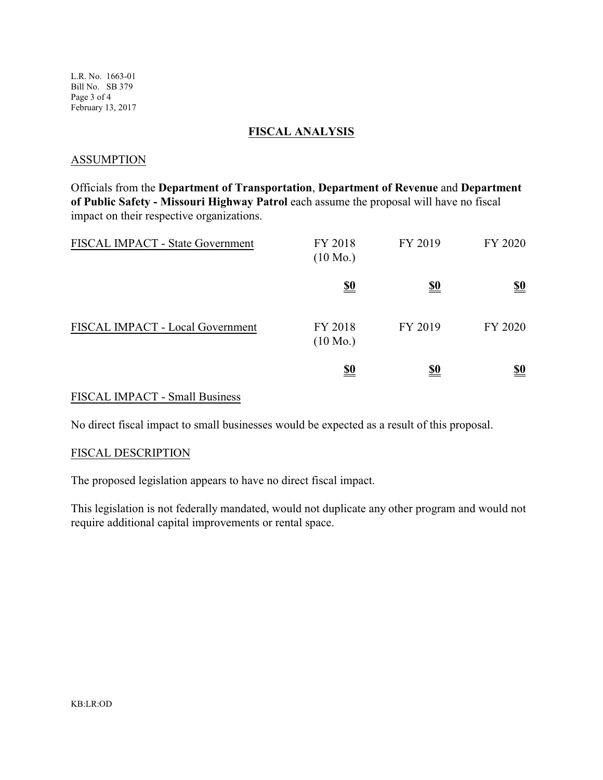L.R. No. 1663-01 Bill No. SB 379 Page 3 of 4 February 13, 2017

### **FISCAL ANALYSIS**

#### **ASSUMPTION**

Officials from the **Department of Transportation**, **Department of Revenue** and **Department of Public Safety - Missouri Highway Patrol** each assume the proposal will have no fiscal impact on their respective organizations.

| FISCAL IMPACT - State Government | FY 2018<br>$(10 \text{ Mo.})$ | FY 2019    | FY 2020                       |
|----------------------------------|-------------------------------|------------|-------------------------------|
|                                  | <u>\$0</u>                    | <u>\$0</u> | $\underline{\underline{\$0}}$ |
| FISCAL IMPACT - Local Government | FY 2018<br>$(10 \text{ Mo.})$ | FY 2019    | FY 2020                       |
|                                  | <u>\$0</u>                    | <u>\$0</u> | <u>\$0</u>                    |

## FISCAL IMPACT - Small Business

No direct fiscal impact to small businesses would be expected as a result of this proposal.

#### FISCAL DESCRIPTION

The proposed legislation appears to have no direct fiscal impact.

This legislation is not federally mandated, would not duplicate any other program and would not require additional capital improvements or rental space.